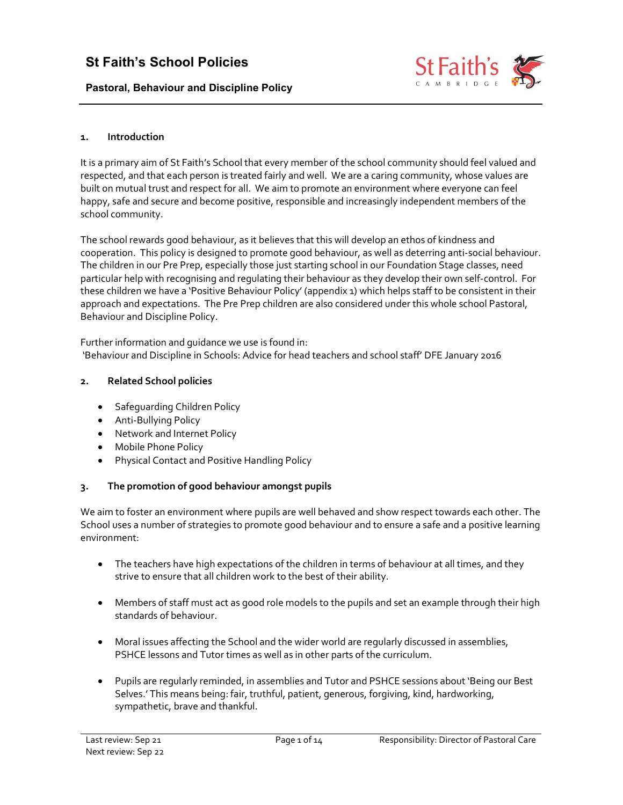Pastoral, Behaviour and Discipline Policy



#### 1. Introduction

It is a primary aim of St Faith's School that every member of the school community should feel valued and respected, and that each person is treated fairly and well. We are a caring community, whose values are built on mutual trust and respect for all. We aim to promote an environment where everyone can feel happy, safe and secure and become positive, responsible and increasingly independent members of the school community.

The school rewards good behaviour, as it believes that this will develop an ethos of kindness and cooperation. This policy is designed to promote good behaviour, as well as deterring anti-social behaviour. The children in our Pre Prep, especially those just starting school in our Foundation Stage classes, need particular help with recognising and regulating their behaviour as they develop their own self-control. For these children we have a 'Positive Behaviour Policy' (appendix 1) which helps staff to be consistent in their approach and expectations. The Pre Prep children are also considered under this whole school Pastoral, Behaviour and Discipline Policy.

Further information and guidance we use is found in: 'Behaviour and Discipline in Schools: Advice for head teachers and school staff' DFE January 2016

#### 2. Related School policies

- Safequarding Children Policy
- Anti-Bullying Policy
- Network and Internet Policy
- Mobile Phone Policy
- Physical Contact and Positive Handling Policy

### 3. The promotion of good behaviour amongst pupils

We aim to foster an environment where pupils are well behaved and show respect towards each other. The School uses a number of strategies to promote good behaviour and to ensure a safe and a positive learning environment:

- The teachers have high expectations of the children in terms of behaviour at all times, and they strive to ensure that all children work to the best of their ability.
- Members of staff must act as good role models to the pupils and set an example through their high standards of behaviour.
- Moral issues affecting the School and the wider world are regularly discussed in assemblies, PSHCE lessons and Tutor times as well as in other parts of the curriculum.
- Pupils are regularly reminded, in assemblies and Tutor and PSHCE sessions about 'Being our Best Selves.' This means being: fair, truthful, patient, generous, forgiving, kind, hardworking, sympathetic, brave and thankful.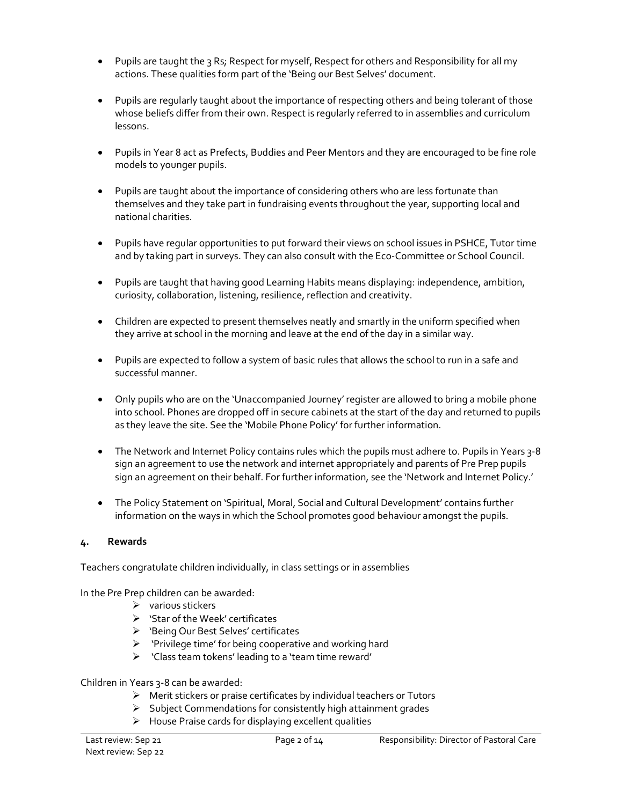- Pupils are taught the 3 Rs; Respect for myself, Respect for others and Responsibility for all my actions. These qualities form part of the 'Being our Best Selves' document.
- Pupils are regularly taught about the importance of respecting others and being tolerant of those whose beliefs differ from their own. Respect is regularly referred to in assemblies and curriculum lessons.
- Pupils in Year 8 act as Prefects, Buddies and Peer Mentors and they are encouraged to be fine role models to younger pupils.
- Pupils are taught about the importance of considering others who are less fortunate than themselves and they take part in fundraising events throughout the year, supporting local and national charities.
- Pupils have regular opportunities to put forward their views on school issues in PSHCE, Tutor time and by taking part in surveys. They can also consult with the Eco-Committee or School Council.
- Pupils are taught that having good Learning Habits means displaying: independence, ambition, curiosity, collaboration, listening, resilience, reflection and creativity.
- Children are expected to present themselves neatly and smartly in the uniform specified when they arrive at school in the morning and leave at the end of the day in a similar way.
- Pupils are expected to follow a system of basic rules that allows the school to run in a safe and successful manner.
- Only pupils who are on the 'Unaccompanied Journey' register are allowed to bring a mobile phone into school. Phones are dropped off in secure cabinets at the start of the day and returned to pupils as they leave the site. See the 'Mobile Phone Policy' for further information.
- The Network and Internet Policy contains rules which the pupils must adhere to. Pupils in Years 3-8 sign an agreement to use the network and internet appropriately and parents of Pre Prep pupils sign an agreement on their behalf. For further information, see the 'Network and Internet Policy.'
- The Policy Statement on 'Spiritual, Moral, Social and Cultural Development' contains further information on the ways in which the School promotes good behaviour amongst the pupils.

# 4. Rewards

Teachers congratulate children individually, in class settings or in assemblies

In the Pre Prep children can be awarded:

- $\triangleright$  various stickers
- $\triangleright$  'Star of the Week' certificates
- 'Being Our Best Selves' certificates
- $\triangleright$  'Privilege time' for being cooperative and working hard
- 'Class team tokens' leading to a 'team time reward'

Children in Years 3-8 can be awarded:

- $\triangleright$  Merit stickers or praise certificates by individual teachers or Tutors
- $\triangleright$  Subject Commendations for consistently high attainment grades
- $\triangleright$  House Praise cards for displaying excellent qualities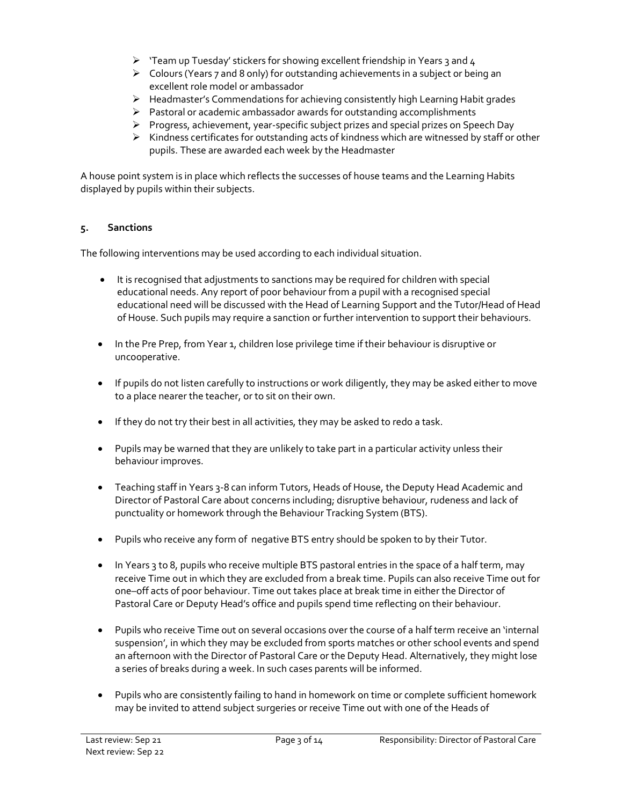- $\triangleright$  'Team up Tuesday' stickers for showing excellent friendship in Years 3 and 4
- $\triangleright$  Colours (Years 7 and 8 only) for outstanding achievements in a subject or being an excellent role model or ambassador
- $\triangleright$  Headmaster's Commendations for achieving consistently high Learning Habit grades
- $\triangleright$  Pastoral or academic ambassador awards for outstanding accomplishments
- $\triangleright$  Progress, achievement, year-specific subject prizes and special prizes on Speech Day
- $\triangleright$  Kindness certificates for outstanding acts of kindness which are witnessed by staff or other pupils. These are awarded each week by the Headmaster

A house point system is in place which reflects the successes of house teams and the Learning Habits displayed by pupils within their subjects.

## 5. Sanctions

The following interventions may be used according to each individual situation.

- It is recognised that adjustments to sanctions may be required for children with special educational needs. Any report of poor behaviour from a pupil with a recognised special educational need will be discussed with the Head of Learning Support and the Tutor/Head of Head of House. Such pupils may require a sanction or further intervention to support their behaviours.
- In the Pre Prep, from Year 1, children lose privilege time if their behaviour is disruptive or uncooperative.
- If pupils do not listen carefully to instructions or work diligently, they may be asked either to move to a place nearer the teacher, or to sit on their own.
- If they do not try their best in all activities, they may be asked to redo a task.
- Pupils may be warned that they are unlikely to take part in a particular activity unless their behaviour improves.
- Teaching staff in Years 3-8 can inform Tutors, Heads of House, the Deputy Head Academic and Director of Pastoral Care about concerns including; disruptive behaviour, rudeness and lack of punctuality or homework through the Behaviour Tracking System (BTS).
- Pupils who receive any form of negative BTS entry should be spoken to by their Tutor.
- In Years 3 to 8, pupils who receive multiple BTS pastoral entries in the space of a half term, may receive Time out in which they are excluded from a break time. Pupils can also receive Time out for one–off acts of poor behaviour. Time out takes place at break time in either the Director of Pastoral Care or Deputy Head's office and pupils spend time reflecting on their behaviour.
- Pupils who receive Time out on several occasions over the course of a half term receive an 'internal suspension', in which they may be excluded from sports matches or other school events and spend an afternoon with the Director of Pastoral Care or the Deputy Head. Alternatively, they might lose a series of breaks during a week. In such cases parents will be informed.
- Pupils who are consistently failing to hand in homework on time or complete sufficient homework may be invited to attend subject surgeries or receive Time out with one of the Heads of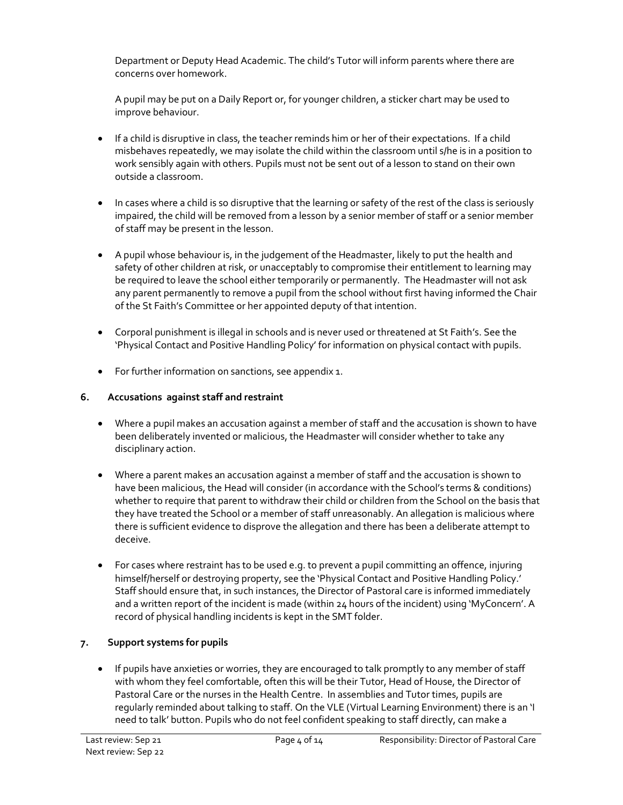Department or Deputy Head Academic. The child's Tutor will inform parents where there are concerns over homework.

A pupil may be put on a Daily Report or, for younger children, a sticker chart may be used to improve behaviour.

- If a child is disruptive in class, the teacher reminds him or her of their expectations. If a child misbehaves repeatedly, we may isolate the child within the classroom until s/he is in a position to work sensibly again with others. Pupils must not be sent out of a lesson to stand on their own outside a classroom.
- In cases where a child is so disruptive that the learning or safety of the rest of the class is seriously impaired, the child will be removed from a lesson by a senior member of staff or a senior member of staff may be present in the lesson.
- A pupil whose behaviour is, in the judgement of the Headmaster, likely to put the health and safety of other children at risk, or unacceptably to compromise their entitlement to learning may be required to leave the school either temporarily or permanently. The Headmaster will not ask any parent permanently to remove a pupil from the school without first having informed the Chair of the St Faith's Committee or her appointed deputy of that intention.
- Corporal punishment is illegal in schools and is never used or threatened at St Faith's. See the 'Physical Contact and Positive Handling Policy' for information on physical contact with pupils.
- For further information on sanctions, see appendix 1.

# 6. Accusations against staff and restraint

- Where a pupil makes an accusation against a member of staff and the accusation is shown to have been deliberately invented or malicious, the Headmaster will consider whether to take any disciplinary action.
- Where a parent makes an accusation against a member of staff and the accusation is shown to have been malicious, the Head will consider (in accordance with the School's terms & conditions) whether to require that parent to withdraw their child or children from the School on the basis that they have treated the School or a member of staff unreasonably. An allegation is malicious where there is sufficient evidence to disprove the allegation and there has been a deliberate attempt to deceive.
- For cases where restraint has to be used e.g. to prevent a pupil committing an offence, injuring himself/herself or destroying property, see the 'Physical Contact and Positive Handling Policy.' Staff should ensure that, in such instances, the Director of Pastoral care is informed immediately and a written report of the incident is made (within 24 hours of the incident) using 'MyConcern'. A record of physical handling incidents is kept in the SMT folder.

# 7. Support systems for pupils

 If pupils have anxieties or worries, they are encouraged to talk promptly to any member of staff with whom they feel comfortable, often this will be their Tutor, Head of House, the Director of Pastoral Care or the nurses in the Health Centre. In assemblies and Tutor times, pupils are regularly reminded about talking to staff. On the VLE (Virtual Learning Environment) there is an 'I need to talk' button. Pupils who do not feel confident speaking to staff directly, can make a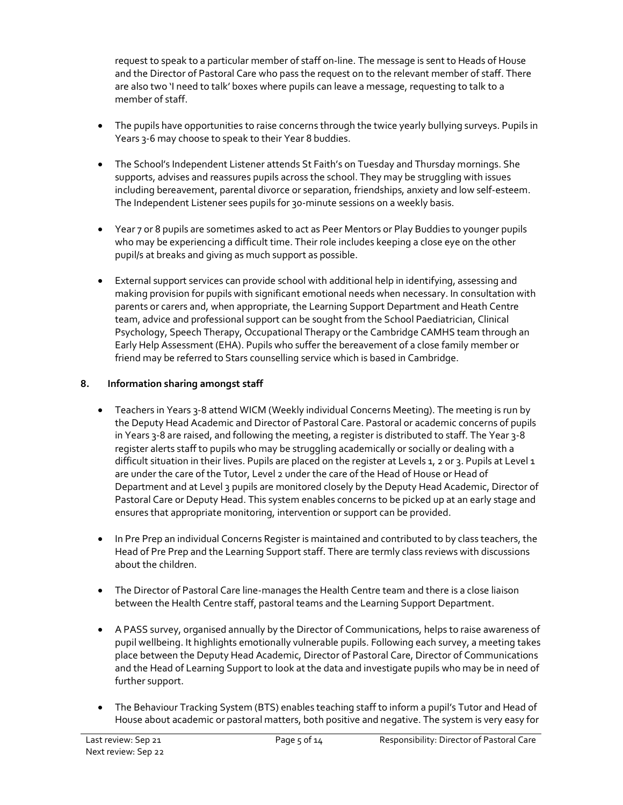request to speak to a particular member of staff on-line. The message is sent to Heads of House and the Director of Pastoral Care who pass the request on to the relevant member of staff. There are also two 'I need to talk' boxes where pupils can leave a message, requesting to talk to a member of staff.

- The pupils have opportunities to raise concerns through the twice yearly bullying surveys. Pupils in Years 3-6 may choose to speak to their Year 8 buddies.
- The School's Independent Listener attends St Faith's on Tuesday and Thursday mornings. She supports, advises and reassures pupils across the school. They may be struggling with issues including bereavement, parental divorce or separation, friendships, anxiety and low self-esteem. The Independent Listener sees pupils for 30-minute sessions on a weekly basis.
- Year 7 or 8 pupils are sometimes asked to act as Peer Mentors or Play Buddies to younger pupils who may be experiencing a difficult time. Their role includes keeping a close eye on the other pupil/s at breaks and giving as much support as possible.
- External support services can provide school with additional help in identifying, assessing and making provision for pupils with significant emotional needs when necessary. In consultation with parents or carers and, when appropriate, the Learning Support Department and Heath Centre team, advice and professional support can be sought from the School Paediatrician, Clinical Psychology, Speech Therapy, Occupational Therapy or the Cambridge CAMHS team through an Early Help Assessment (EHA). Pupils who suffer the bereavement of a close family member or friend may be referred to Stars counselling service which is based in Cambridge.

# 8. Information sharing amongst staff

- Teachers in Years 3-8 attend WICM (Weekly individual Concerns Meeting). The meeting is run by the Deputy Head Academic and Director of Pastoral Care. Pastoral or academic concerns of pupils in Years 3-8 are raised, and following the meeting, a register is distributed to staff. The Year 3-8 register alerts staff to pupils who may be struggling academically or socially or dealing with a difficult situation in their lives. Pupils are placed on the register at Levels 1, 2 or 3. Pupils at Level 1 are under the care of the Tutor, Level 2 under the care of the Head of House or Head of Department and at Level 3 pupils are monitored closely by the Deputy Head Academic, Director of Pastoral Care or Deputy Head. This system enables concerns to be picked up at an early stage and ensures that appropriate monitoring, intervention or support can be provided.
- In Pre Prep an individual Concerns Register is maintained and contributed to by class teachers, the Head of Pre Prep and the Learning Support staff. There are termly class reviews with discussions about the children.
- The Director of Pastoral Care line-manages the Health Centre team and there is a close liaison between the Health Centre staff, pastoral teams and the Learning Support Department.
- A PASS survey, organised annually by the Director of Communications, helps to raise awareness of pupil wellbeing. It highlights emotionally vulnerable pupils. Following each survey, a meeting takes place between the Deputy Head Academic, Director of Pastoral Care, Director of Communications and the Head of Learning Support to look at the data and investigate pupils who may be in need of further support.
- The Behaviour Tracking System (BTS) enables teaching staff to inform a pupil's Tutor and Head of House about academic or pastoral matters, both positive and negative. The system is very easy for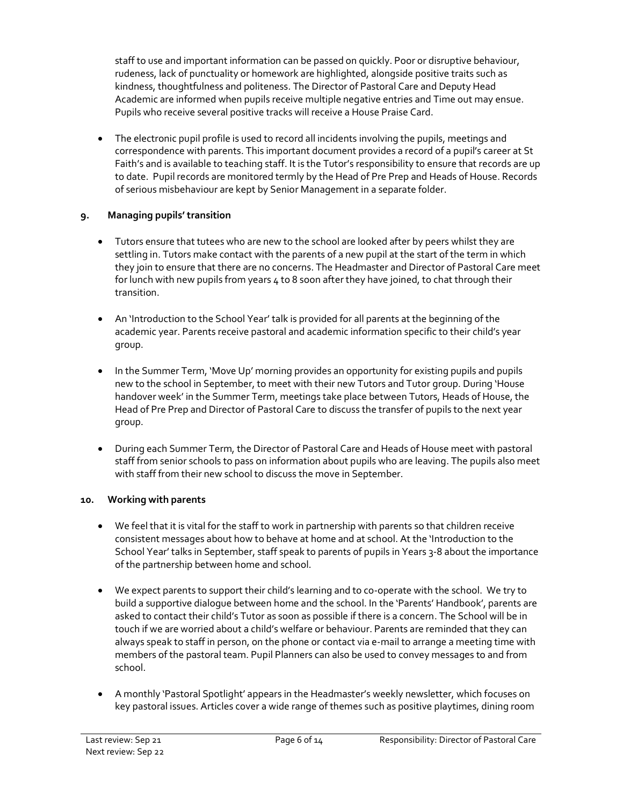staff to use and important information can be passed on quickly. Poor or disruptive behaviour, rudeness, lack of punctuality or homework are highlighted, alongside positive traits such as kindness, thoughtfulness and politeness. The Director of Pastoral Care and Deputy Head Academic are informed when pupils receive multiple negative entries and Time out may ensue. Pupils who receive several positive tracks will receive a House Praise Card.

 The electronic pupil profile is used to record all incidents involving the pupils, meetings and correspondence with parents. This important document provides a record of a pupil's career at St Faith's and is available to teaching staff. It is the Tutor's responsibility to ensure that records are up to date. Pupil records are monitored termly by the Head of Pre Prep and Heads of House. Records of serious misbehaviour are kept by Senior Management in a separate folder.

# 9. Managing pupils' transition

- Tutors ensure that tutees who are new to the school are looked after by peers whilst they are settling in. Tutors make contact with the parents of a new pupil at the start of the term in which they join to ensure that there are no concerns. The Headmaster and Director of Pastoral Care meet for lunch with new pupils from years 4 to 8 soon after they have joined, to chat through their transition.
- An 'Introduction to the School Year' talk is provided for all parents at the beginning of the academic year. Parents receive pastoral and academic information specific to their child's year group.
- In the Summer Term, 'Move Up' morning provides an opportunity for existing pupils and pupils new to the school in September, to meet with their new Tutors and Tutor group. During 'House handover week' in the Summer Term, meetings take place between Tutors, Heads of House, the Head of Pre Prep and Director of Pastoral Care to discuss the transfer of pupils to the next year group.
- During each Summer Term, the Director of Pastoral Care and Heads of House meet with pastoral staff from senior schools to pass on information about pupils who are leaving. The pupils also meet with staff from their new school to discuss the move in September.

# 10. Working with parents

- We feel that it is vital for the staff to work in partnership with parents so that children receive consistent messages about how to behave at home and at school. At the 'Introduction to the School Year' talks in September, staff speak to parents of pupils in Years 3-8 about the importance of the partnership between home and school.
- We expect parents to support their child's learning and to co-operate with the school. We try to build a supportive dialogue between home and the school. In the 'Parents' Handbook', parents are asked to contact their child's Tutor as soon as possible if there is a concern. The School will be in touch if we are worried about a child's welfare or behaviour. Parents are reminded that they can always speak to staff in person, on the phone or contact via e-mail to arrange a meeting time with members of the pastoral team. Pupil Planners can also be used to convey messages to and from school.
- A monthly 'Pastoral Spotlight' appears in the Headmaster's weekly newsletter, which focuses on key pastoral issues. Articles cover a wide range of themes such as positive playtimes, dining room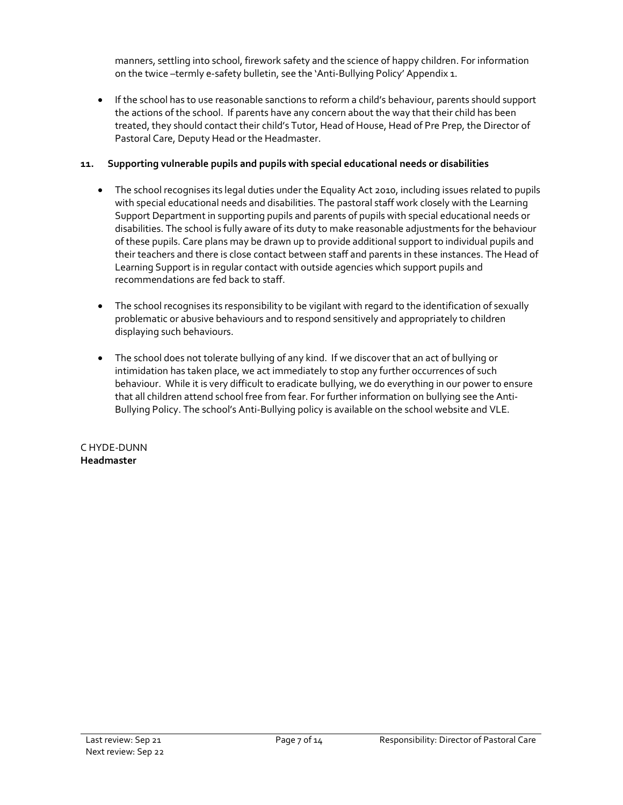manners, settling into school, firework safety and the science of happy children. For information on the twice –termly e-safety bulletin, see the 'Anti-Bullying Policy' Appendix 1.

 If the school has to use reasonable sanctions to reform a child's behaviour, parents should support the actions of the school. If parents have any concern about the way that their child has been treated, they should contact their child's Tutor, Head of House, Head of Pre Prep, the Director of Pastoral Care, Deputy Head or the Headmaster.

## 11. Supporting vulnerable pupils and pupils with special educational needs or disabilities

- The school recognises its legal duties under the Equality Act 2010, including issues related to pupils with special educational needs and disabilities. The pastoral staff work closely with the Learning Support Department in supporting pupils and parents of pupils with special educational needs or disabilities. The school is fully aware of its duty to make reasonable adjustments for the behaviour of these pupils. Care plans may be drawn up to provide additional support to individual pupils and their teachers and there is close contact between staff and parents in these instances. The Head of Learning Support is in regular contact with outside agencies which support pupils and recommendations are fed back to staff.
- The school recognises its responsibility to be vigilant with regard to the identification of sexually problematic or abusive behaviours and to respond sensitively and appropriately to children displaying such behaviours.
- The school does not tolerate bullying of any kind. If we discover that an act of bullying or intimidation has taken place, we act immediately to stop any further occurrences of such behaviour. While it is very difficult to eradicate bullying, we do everything in our power to ensure that all children attend school free from fear. For further information on bullying see the Anti-Bullying Policy. The school's Anti-Bullying policy is available on the school website and VLE.

### C HYDE-DUNN Headmaster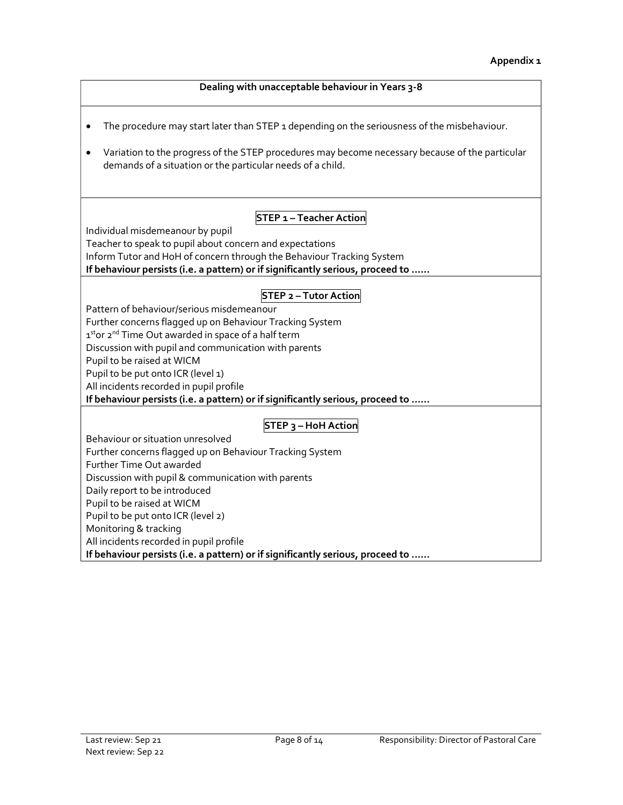| Dealing with unacceptable behaviour in Years 3-8                                                                                                                           |
|----------------------------------------------------------------------------------------------------------------------------------------------------------------------------|
| The procedure may start later than STEP 1 depending on the seriousness of the misbehaviour.                                                                                |
| Variation to the progress of the STEP procedures may become necessary because of the particular<br>$\bullet$<br>demands of a situation or the particular needs of a child. |
| <b>STEP 1 - Teacher Action</b>                                                                                                                                             |
| Individual misdemeanour by pupil                                                                                                                                           |
| Teacher to speak to pupil about concern and expectations                                                                                                                   |
| Inform Tutor and HoH of concern through the Behaviour Tracking System                                                                                                      |
| If behaviour persists (i.e. a pattern) or if significantly serious, proceed to                                                                                             |
|                                                                                                                                                                            |
| <b>STEP 2 - Tutor Action</b>                                                                                                                                               |
| Pattern of behaviour/serious misdemeanour                                                                                                                                  |
| Further concerns flagged up on Behaviour Tracking System                                                                                                                   |
| 1stor 2 <sup>nd</sup> Time Out awarded in space of a half term                                                                                                             |
| Discussion with pupil and communication with parents                                                                                                                       |
| Pupil to be raised at WICM                                                                                                                                                 |
| Pupil to be put onto ICR (level 1)                                                                                                                                         |
| All incidents recorded in pupil profile                                                                                                                                    |
| If behaviour persists (i.e. a pattern) or if significantly serious, proceed to                                                                                             |
| STEP 3 - HoH Action                                                                                                                                                        |
| Behaviour or situation unresolved                                                                                                                                          |
| Further concerns flagged up on Behaviour Tracking System                                                                                                                   |
| Further Time Out awarded                                                                                                                                                   |
| Discussion with pupil & communication with parents                                                                                                                         |
| Daily report to be introduced                                                                                                                                              |
| Pupil to be raised at WICM                                                                                                                                                 |
| Pupil to be put onto ICR (level 2)                                                                                                                                         |
| Monitoring & tracking                                                                                                                                                      |
| All incidents recorded in pupil profile                                                                                                                                    |
| If behaviour persists (i.e. a pattern) or if significantly serious, proceed to                                                                                             |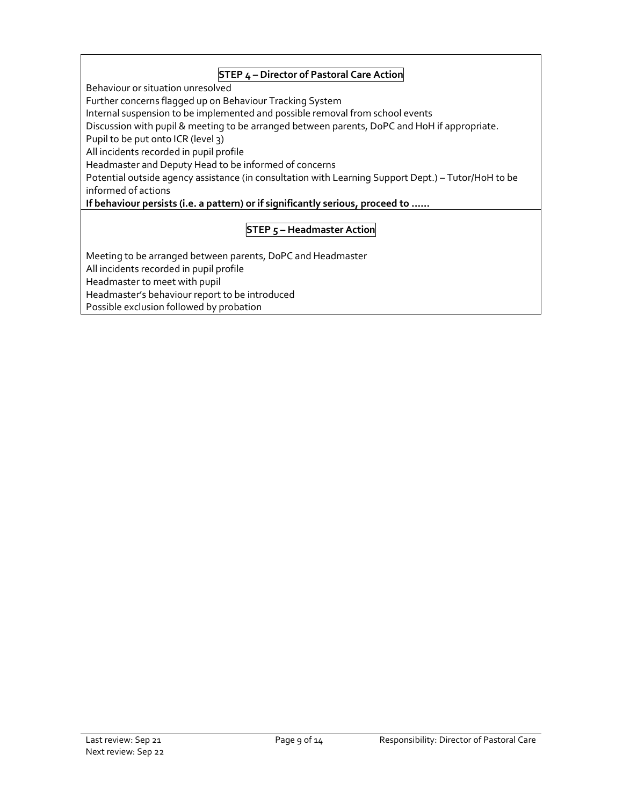## **STEP 4 – Director of Pastoral Care Action**

Behaviour or situation unresolved

Further concerns flagged up on Behaviour Tracking System

Internal suspension to be implemented and possible removal from school events

Discussion with pupil & meeting to be arranged between parents, DoPC and HoH if appropriate.

Pupil to be put onto ICR (level 3)

All incidents recorded in pupil profile

Headmaster and Deputy Head to be informed of concerns

Potential outside agency assistance (in consultation with Learning Support Dept.) – Tutor/HoH to be informed of actions

If behaviour persists (i.e. a pattern) or if significantly serious, proceed to ……

## **STEP 5 - Headmaster Action**

Meeting to be arranged between parents, DoPC and Headmaster All incidents recorded in pupil profile Headmaster to meet with pupil Headmaster's behaviour report to be introduced Possible exclusion followed by probation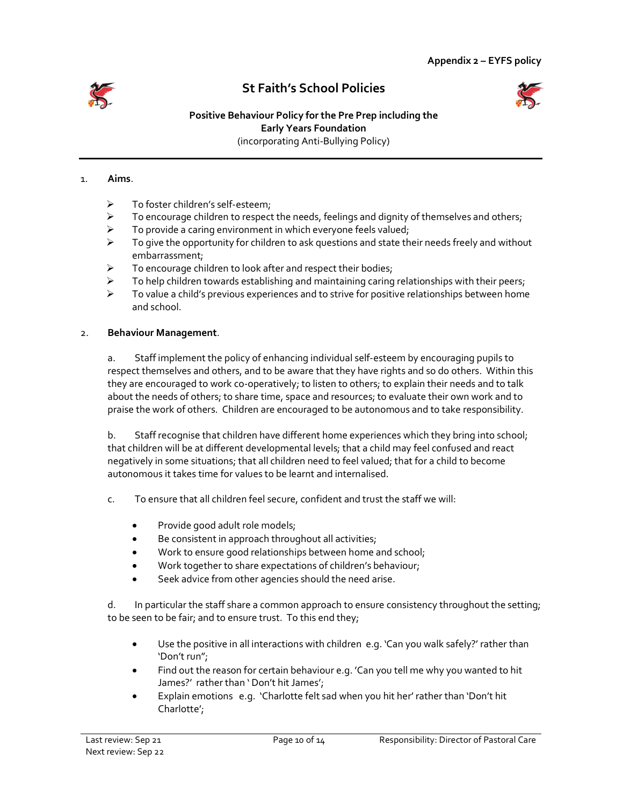

# St Faith's School Policies



#### Positive Behaviour Policy for the Pre Prep including the Early Years Foundation (incorporating Anti-Bullying Policy)

#### 1. Aims.

- > To foster children's self-esteem;
- $\triangleright$  To encourage children to respect the needs, feelings and dignity of themselves and others;
- $\triangleright$  To provide a caring environment in which everyone feels valued;
- $\triangleright$  To give the opportunity for children to ask questions and state their needs freely and without embarrassment;
- $\triangleright$  To encourage children to look after and respect their bodies;
- $\triangleright$  To help children towards establishing and maintaining caring relationships with their peers;
- $\triangleright$  To value a child's previous experiences and to strive for positive relationships between home and school.

#### 2. Behaviour Management.

a. Staff implement the policy of enhancing individual self-esteem by encouraging pupils to respect themselves and others, and to be aware that they have rights and so do others. Within this they are encouraged to work co-operatively; to listen to others; to explain their needs and to talk about the needs of others; to share time, space and resources; to evaluate their own work and to praise the work of others. Children are encouraged to be autonomous and to take responsibility.

b. Staff recognise that children have different home experiences which they bring into school; that children will be at different developmental levels; that a child may feel confused and react negatively in some situations; that all children need to feel valued; that for a child to become autonomous it takes time for values to be learnt and internalised.

- c. To ensure that all children feel secure, confident and trust the staff we will:
	- Provide good adult role models;
	- Be consistent in approach throughout all activities;
	- Work to ensure good relationships between home and school;
	- Work together to share expectations of children's behaviour;
	- Seek advice from other agencies should the need arise.

d. In particular the staff share a common approach to ensure consistency throughout the setting; to be seen to be fair; and to ensure trust. To this end they;

- Use the positive in all interactions with children e.g. 'Can you walk safely?' rather than 'Don't run";
- Find out the reason for certain behaviour e.g. 'Can you tell me why you wanted to hit James?' rather than ' Don't hit James';
- Explain emotions e.g. 'Charlotte felt sad when you hit her' rather than 'Don't hit Charlotte';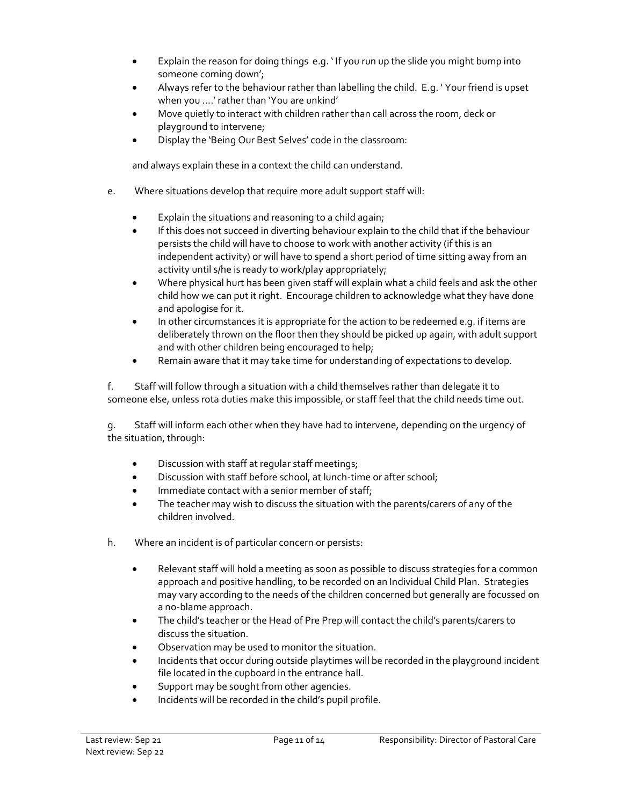- Explain the reason for doing things e.g. ' If you run up the slide you might bump into someone coming down';
- Always refer to the behaviour rather than labelling the child. E.g. ' Your friend is upset when you ….' rather than 'You are unkind'
- Move quietly to interact with children rather than call across the room, deck or playground to intervene;
- Display the 'Being Our Best Selves' code in the classroom:

and always explain these in a context the child can understand.

- e. Where situations develop that require more adult support staff will:
	- Explain the situations and reasoning to a child again;
	- If this does not succeed in diverting behaviour explain to the child that if the behaviour persists the child will have to choose to work with another activity (if this is an independent activity) or will have to spend a short period of time sitting away from an activity until s/he is ready to work/play appropriately;
	- Where physical hurt has been given staff will explain what a child feels and ask the other child how we can put it right. Encourage children to acknowledge what they have done and apologise for it.
	- In other circumstances it is appropriate for the action to be redeemed e.g. if items are deliberately thrown on the floor then they should be picked up again, with adult support and with other children being encouraged to help;
	- Remain aware that it may take time for understanding of expectations to develop.

f. Staff will follow through a situation with a child themselves rather than delegate it to someone else, unless rota duties make this impossible, or staff feel that the child needs time out.

g. Staff will inform each other when they have had to intervene, depending on the urgency of the situation, through:

- Discussion with staff at regular staff meetings;
- **•** Discussion with staff before school, at lunch-time or after school;
- Immediate contact with a senior member of staff;
- The teacher may wish to discuss the situation with the parents/carers of any of the children involved.
- h. Where an incident is of particular concern or persists:
	- Relevant staff will hold a meeting as soon as possible to discuss strategies for a common approach and positive handling, to be recorded on an Individual Child Plan. Strategies may vary according to the needs of the children concerned but generally are focussed on a no-blame approach.
	- The child's teacher or the Head of Pre Prep will contact the child's parents/carers to discuss the situation.
	- Observation may be used to monitor the situation.
	- Incidents that occur during outside playtimes will be recorded in the playground incident file located in the cupboard in the entrance hall.
	- Support may be sought from other agencies.
	- Incidents will be recorded in the child's pupil profile.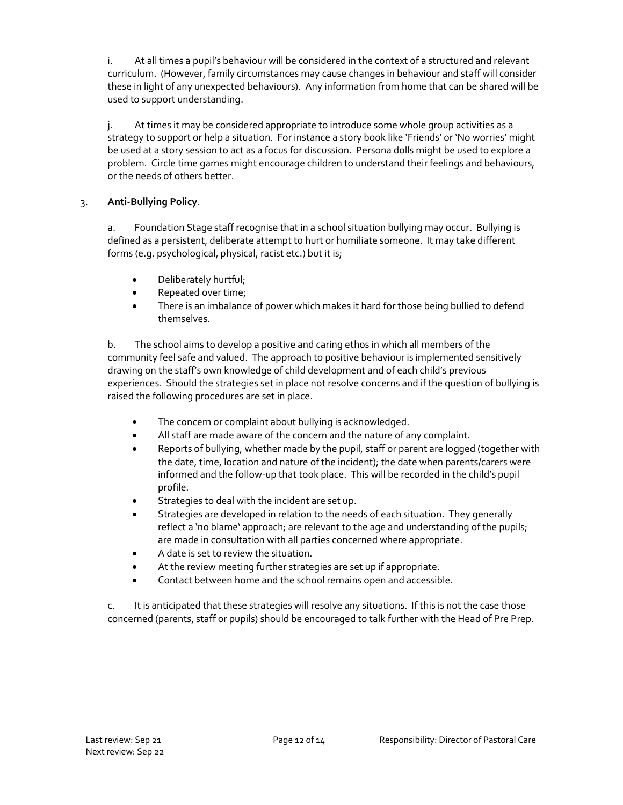i. At all times a pupil's behaviour will be considered in the context of a structured and relevant curriculum. (However, family circumstances may cause changes in behaviour and staff will consider these in light of any unexpected behaviours). Any information from home that can be shared will be used to support understanding.

j. At times it may be considered appropriate to introduce some whole group activities as a strategy to support or help a situation. For instance a story book like 'Friends' or 'No worries' might be used at a story session to act as a focus for discussion. Persona dolls might be used to explore a problem. Circle time games might encourage children to understand their feelings and behaviours, or the needs of others better.

## 3. Anti-Bullying Policy.

a. Foundation Stage staff recognise that in a school situation bullying may occur. Bullying is defined as a persistent, deliberate attempt to hurt or humiliate someone. It may take different forms (e.g. psychological, physical, racist etc.) but it is;

- Deliberately hurtful;
- Repeated over time;
- There is an imbalance of power which makes it hard for those being bullied to defend themselves.

b. The school aims to develop a positive and caring ethos in which all members of the community feel safe and valued. The approach to positive behaviour is implemented sensitively drawing on the staff's own knowledge of child development and of each child's previous experiences. Should the strategies set in place not resolve concerns and if the question of bullying is raised the following procedures are set in place.

- The concern or complaint about bullying is acknowledged.
- All staff are made aware of the concern and the nature of any complaint.
- Reports of bullying, whether made by the pupil, staff or parent are logged (together with the date, time, location and nature of the incident); the date when parents/carers were informed and the follow-up that took place. This will be recorded in the child's pupil profile.
- Strategies to deal with the incident are set up.
- Strategies are developed in relation to the needs of each situation. They generally reflect a 'no blame' approach; are relevant to the age and understanding of the pupils; are made in consultation with all parties concerned where appropriate.
- A date is set to review the situation.
- At the review meeting further strategies are set up if appropriate.
- Contact between home and the school remains open and accessible.

c. It is anticipated that these strategies will resolve any situations. If this is not the case those concerned (parents, staff or pupils) should be encouraged to talk further with the Head of Pre Prep.